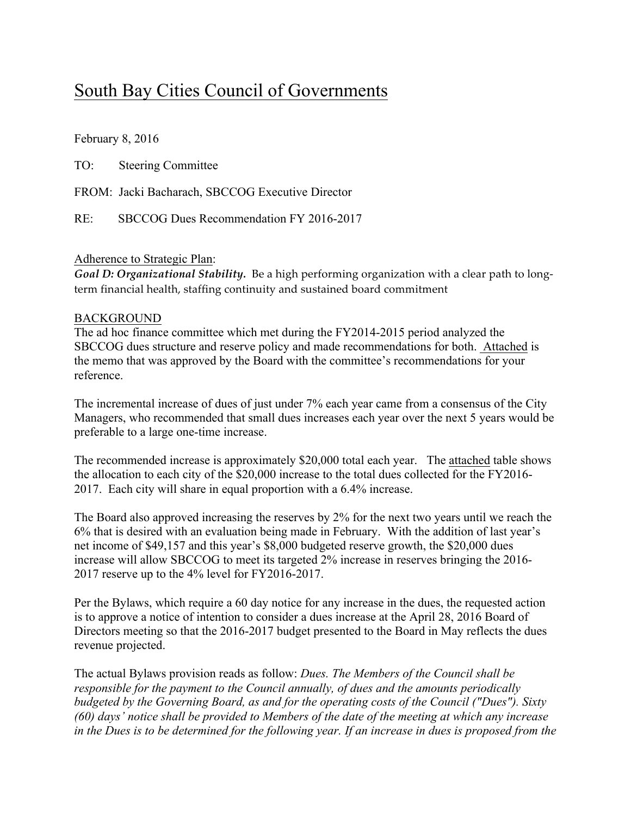# South Bay Cities Council of Governments

February 8, 2016

TO: Steering Committee

FROM: Jacki Bacharach, SBCCOG Executive Director

RE: SBCCOG Dues Recommendation FY 2016-2017

#### Adherence to Strategic Plan:

*Goal D: Organizational Stability.* Be a high performing organization with a clear path to longterm financial health, staffing continuity and sustained board commitment

#### BACKGROUND

The ad hoc finance committee which met during the FY2014-2015 period analyzed the SBCCOG dues structure and reserve policy and made recommendations for both. Attached is the memo that was approved by the Board with the committee's recommendations for your reference.

The incremental increase of dues of just under 7% each year came from a consensus of the City Managers, who recommended that small dues increases each year over the next 5 years would be preferable to a large one-time increase.

The recommended increase is approximately \$20,000 total each year. The attached table shows the allocation to each city of the \$20,000 increase to the total dues collected for the FY2016- 2017. Each city will share in equal proportion with a 6.4% increase.

The Board also approved increasing the reserves by 2% for the next two years until we reach the 6% that is desired with an evaluation being made in February. With the addition of last year's net income of \$49,157 and this year's \$8,000 budgeted reserve growth, the \$20,000 dues increase will allow SBCCOG to meet its targeted 2% increase in reserves bringing the 2016- 2017 reserve up to the 4% level for FY2016-2017.

Per the Bylaws, which require a 60 day notice for any increase in the dues, the requested action is to approve a notice of intention to consider a dues increase at the April 28, 2016 Board of Directors meeting so that the 2016-2017 budget presented to the Board in May reflects the dues revenue projected.

The actual Bylaws provision reads as follow: *Dues. The Members of the Council shall be responsible for the payment to the Council annually, of dues and the amounts periodically budgeted by the Governing Board, as and for the operating costs of the Council ("Dues"). Sixty (60) days' notice shall be provided to Members of the date of the meeting at which any increase in the Dues is to be determined for the following year. If an increase in dues is proposed from the*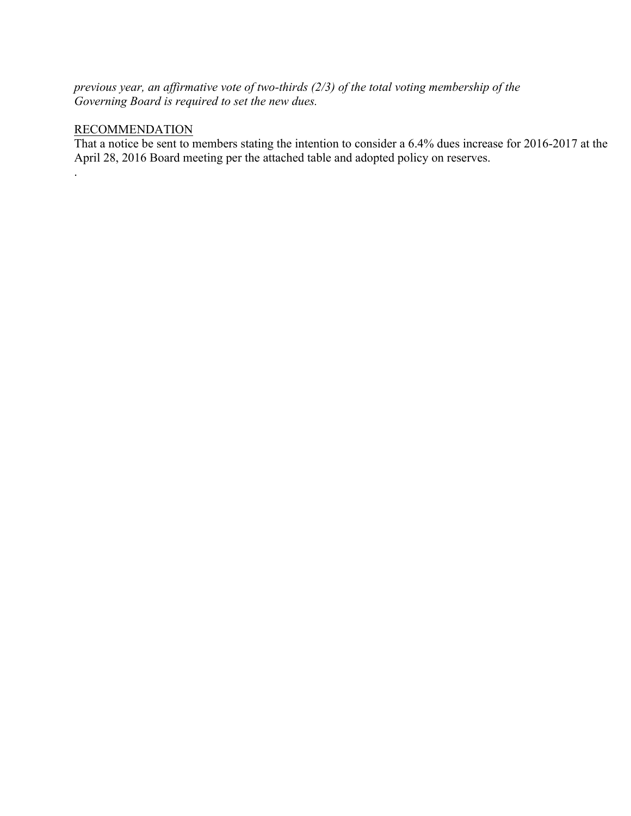*previous year, an affirmative vote of two-thirds (2/3) of the total voting membership of the Governing Board is required to set the new dues.*

### RECOMMENDATION

.

That a notice be sent to members stating the intention to consider a 6.4% dues increase for 2016-2017 at the April 28, 2016 Board meeting per the attached table and adopted policy on reserves.